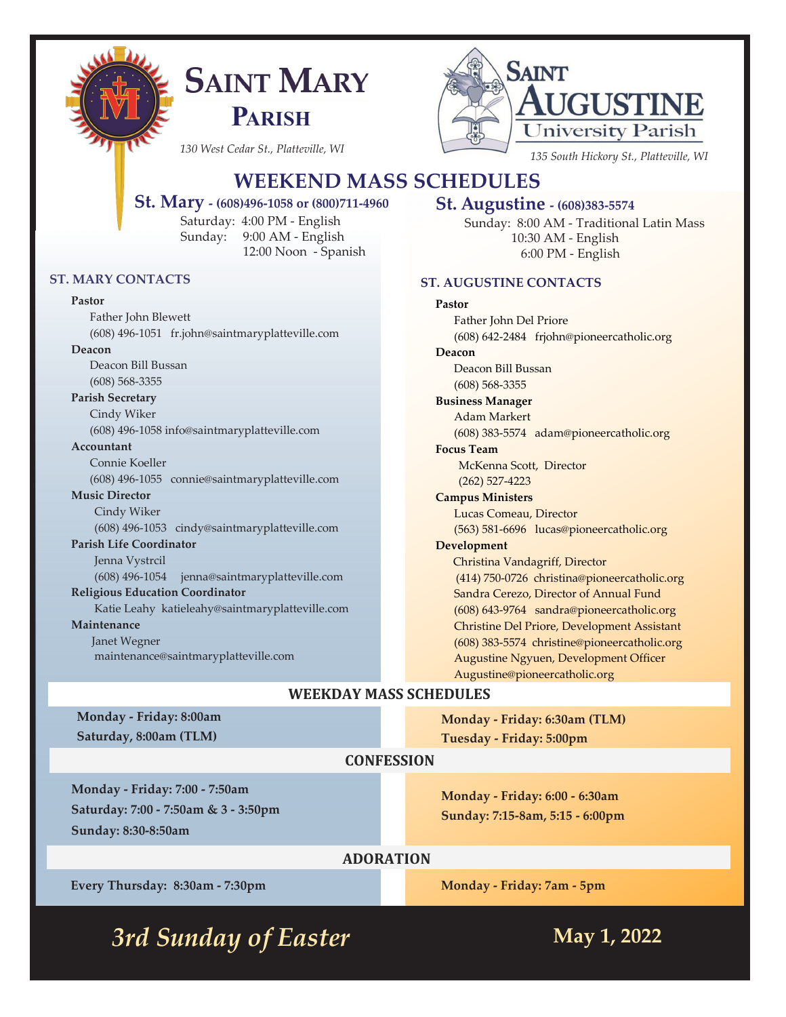

# **SAINT MARY PARISH**



# **WEEKEND MASS SCHEDULES**

#### **St. Mary - (608)496-1058 or (800)711-4960**

Saturday: 4:00 PM - English Sunday: 9:00 AM - English 12:00 Noon - Spanish

#### **ST. MARY CONTACTS**

#### **Pastor**

Father John Blewett (608) 496-1051 fr.john@saintmaryplatteville.com **Deacon** Deacon Bill Bussan (608) 568-3355 **Parish Secretary** Cindy Wiker (608) 496-1058 info@saintmaryplatteville.com **Accountant** Connie Koeller (608) 496-1055 connie@saintmaryplatteville.com **Music Director** Cindy Wiker (608) 496-1053 cindy@saintmaryplatteville.com **Parish Life Coordinator**  Jenna Vystrcil (608) 496-1054 jenna@saintmaryplatteville.com **Religious Education Coordinator** Katie Leahy katieleahy@saintmaryplatteville.com **Maintenance** Janet Wegner maintenance@saintmaryplatteville.com

#### **St. Augustine - (608)383-5574**

Sunday: 8:00 AM - Traditional Latin Mass 10:30 AM - English 6:00 PM - English

#### **ST. AUGUSTINE CONTACTS**

# **Pastor**

Father John Del Priore (608) 642-2484 frjohn@pioneercatholic.org **Deacon** Deacon Bill Bussan (608) 568-3355 **Business Manager** Adam Markert (608) 383-5574 adam@pioneercatholic.org **Focus Team** McKenna Scott, Director (262) 527-4223 **Campus Ministers** Lucas Comeau, Director (563) 581-6696 lucas@pioneercatholic.org **Development** Christina Vandagriff, Director (414) 750-0726 christina@pioneercatholic.org Sandra Cerezo, Director of Annual Fund (608) 643-9764 sandra@pioneercatholic.org Christine Del Priore, Development Assistant (608) 383-5574 christine@pioneercatholic.org Augustine Ngyuen, Development Officer Augustine@pioneercatholic.org

# **WEEKDAY MASS SCHEDULES**

**Monday - Friday: 8:00am Saturday, 8:00am (TLM)**

**Monday - Friday: 6:30am (TLM) Tuesday - Friday: 5:00pm**

#### **CONFESSION**

**Monday - Friday: 7:00 - 7:50am Saturday: 7:00 - 7:50am & 3 - 3:50pm Sunday: 8:30-8:50am**

**Monday - Friday: 6:00 - 6:30am Sunday: 7:15-8am, 5:15 - 6:00pm**

# **ADORATION**

**Every Thursday: 8:30am - 7:30pm**

**Monday - Friday: 7am - 5pm**

*3rd Sunday of Easter* **May 1, 2022**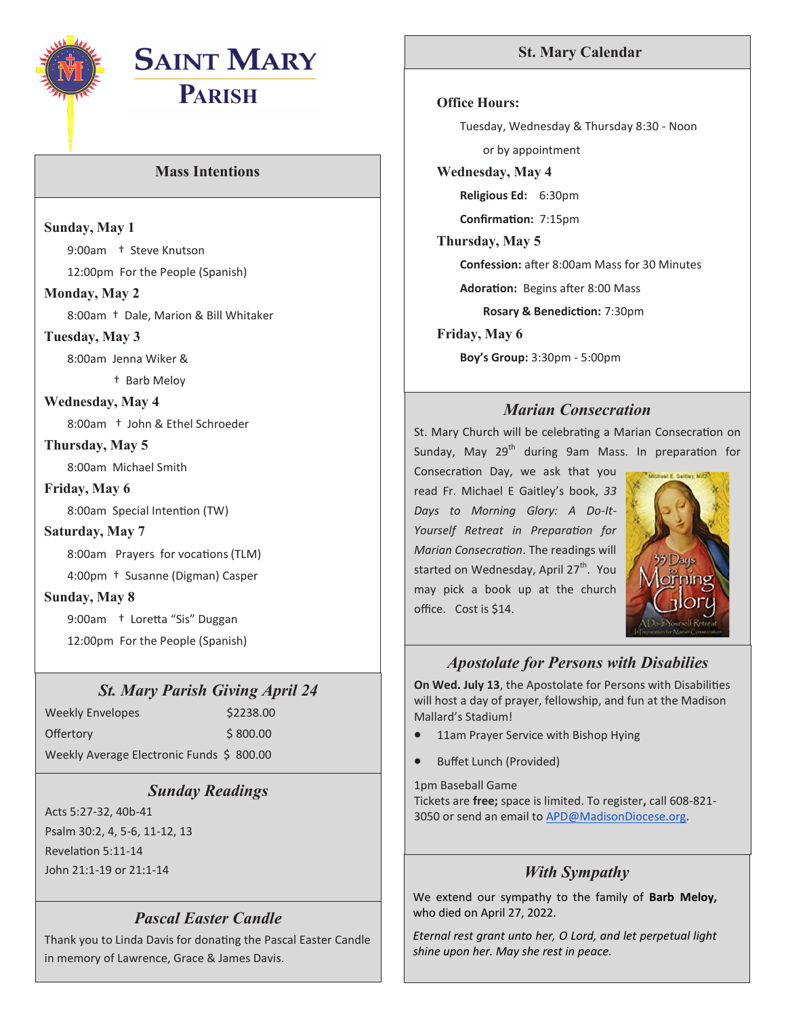

# **SAINT MARY PARISH**

## **Mass Intentions**

**Sunday, May 1**

9:00am † Steve Knutson

12:00pm For the People (Spanish)

#### **Monday, May 2**

8:00am † Dale, Marion & Bill Whitaker

#### **Tuesday, May 3**

8:00am Jenna Wiker &

† Barb Meloy

#### **Wednesday, May 4**

8:00am † John & Ethel Schroeder

## **Thursday, May 5**

8:00am Michael Smith

## **Friday, May 6**

8:00am Special Intention (TW)

#### **Saturday, May 7**

8:00am Prayers for vocations (TLM)

4:00pm † Susanne (Digman) Casper

#### **Sunday, May 8**

9:00am † Loretta "Sis" Duggan 12:00pm For the People (Spanish)

# *St. Mary Parish Giving April 24*

Weekly Envelopes \$2238.00 Offertory \$800.00 Weekly Average Electronic Funds \$ 800.00

# *Sunday Readings*

Acts 5:27-32, 40b-41 Psalm 30:2, 4, 5-6, 11-12, 13 Revelation 5:11-14 John 21:1-19 or 21:1-14 *With Sympathy*

# *Pascal Easter Candle*

Thank you to Linda Davis for donating the Pascal Easter Candle in memory of Lawrence, Grace & James Davis.

# **St. Mary Calendar**

#### **Office Hours:**

Tuesday, Wednesday & Thursday 8:30 - Noon or by appointment

**Wednesday, May 4**

**Religious Ed:** 6:30pm

**Confirmation:** 7:15pm

#### **Thursday, May 5**

**Confession:** after 8:00am Mass for 30 Minutes

**Adoration:** Begins after 8:00 Mass

**Rosary & Benediction:** 7:30pm

**Friday, May 6**

**Boy's Group:** 3:30pm - 5:00pm

# *Marian Consecration*

St. Mary Church will be celebrating a Marian Consecration on Sunday, May 29<sup>th</sup> during 9am Mass. In preparation for

Consecration Day, we ask that you read Fr. Michael E Gaitley's book, *33 Days to Morning Glory: A Do-It-Yourself Retreat in Preparation for Marian Consecration*. The readings will started on Wednesday, April 27<sup>th</sup>. You may pick a book up at the church office. Cost is \$14.



# *Apostolate for Persons with Disabilies*

**On Wed. July 13**, the Apostolate for Persons with Disabilities will host a day of prayer, fellowship, and fun at the Madison Mallard's Stadium!

- 11am Prayer Service with Bishop Hying
- Buffet Lunch (Provided)

1pm Baseball Game Tickets are **free;** space is limited. To register**,** call 608-821- 3050 or send an email to [APD@MadisonDiocese.org.](mailto:APD@MadisonDiocese.org)

We extend our sympathy to the family of **Barb Meloy,**  who died on April 27, 2022.

*Eternal rest grant unto her, O Lord, and let perpetual light shine upon her. May she rest in peace.*